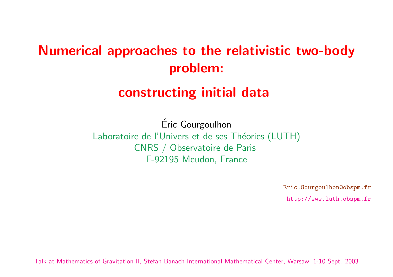# Numerical approaches to the relativistic problem:

# constructing initial data

Eric Gourgoulhon ´ Laboratoire de l'Univers et de ses Théories (LUT CNRS / Observatoire de Paris F-92195 Meudon, France

Eric.Gourgoulhon@obspm.fr

Talk at Mathematics of Gravitation II, Stefan Banach International Mathematical Center,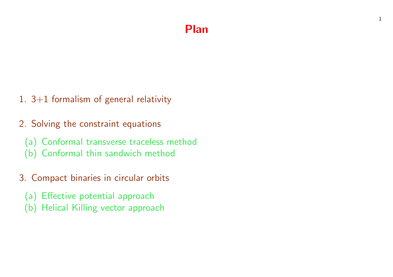### Plan

- 1. 3+1 formalism of general relativity
- 2. Solving the constraint equations
	- (a) Conformal transverse traceless method
	- (b) Conformal thin sandwich method
- 3. Compact binaries in circular orbits
	- (a) Effective potential approach
	- (b) Helical Killing vector approach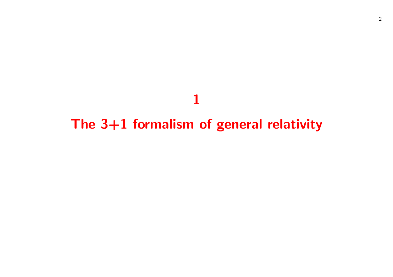# 

# The 3+1 formalism of general relativity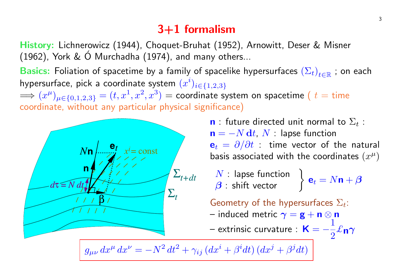# 3+1 formalism

History: Lichnerowicz (1944), Choquet-Bruhat (1952), Arnowitt, Deser & Misner (1962), York &  $\acute{O}$  Murchadha (1974), and many others...

Basics: Foliation of spacetime by a family of spacelike hypersurfaces  $(\Sigma_t)_{t\in\mathbb{R}}$  ; on each hypersurface, pick a coordinate system  $(x^i)_{i \in \{1,2,3\}}$  $\implies (x^\mu)_{\mu \in \{0,1,2,3\}} = (t,x^1,x^2,x^3) =$  coordinate system on spacetime (  $t =$  time coordinate, without any particular physical significance)



**n** : future directed unit normal to  $\Sigma_t$  :  $\mathbf{n} = -N \, \mathbf{d} t$ ,  $N$  : lapse function  ${\bf e}_t = \partial/\partial t$  : time vector of the natural basis associated with the coordinates  $(x^{\mu})$ 

$$
\begin{array}{ccc}\nN: \text{ lapse function} \\
\boldsymbol{\beta}: \text{shift vector} \\
\end{array}\n\bigg\} \mathbf{e}_t = N\mathbf{n} + \boldsymbol{\beta}
$$

Geometry of the hypersurfaces  $\Sigma_t$ :

– induced metric  $\gamma = \mathbf{g} + \mathbf{n} \otimes \mathbf{n}$ 

 $-$  extrinsic curvature :  $\,\mathsf{K}=-\,$ 1 2  $\ell$ n $\gamma$ 

 $g_{\mu\nu} dx^{\mu} dx^{\nu} = -N^2 dt^2 + \gamma_{ij} (dx^i + \beta^i dt) (dx^j + \beta^j dt)$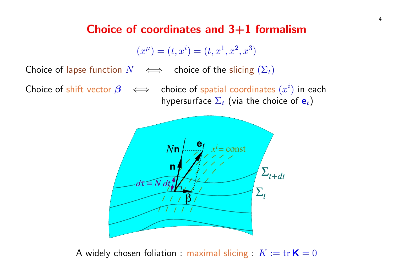### Choice of coordinates and  $3+1$  formalism

$$
(x^{\mu}) = (t, x^{i}) = (t, x^{1}, x^{2}, x^{3})
$$

Choice of lapse function  $N \iff$  choice of the slicing  $(\Sigma_t)$ 

Choice of shift vector  $\boldsymbol{\beta} \iff$  choice of spatial coordinates  $(x^i)$  in each hypersurface  $\Sigma_t$  (via the choice of  $\mathbf{e}_t$ )



A widely chosen foliation : maximal slicing :  $K := \text{tr } K = 0$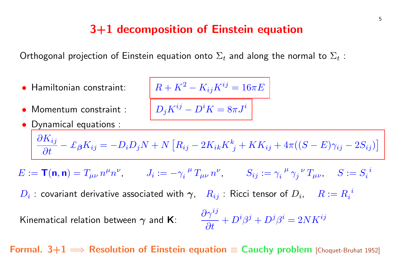### 3+1 decomposition of Einstein equat

Orthogonal projection of Einstein equation onto  $\Sigma_t$  and along the

\n- Hamiltonian constraint:\n 
$$
R + K^2 - K_{ij}K^{ij} = 16\pi E
$$
\n
\n- Monentum constraint:\n 
$$
D_j K^{ij} - D^i K = 8\pi J^i
$$
\n
\n- Dynamical equations:\n 
$$
\frac{\partial K_{ij}}{\partial t} - \pounds_{\beta} K_{ij} = -D_i D_j N + N \left[ R_{ij} - 2K_{ik} K^k{}_j + KK_{ij} + 4K_{ij} K^k{}_j + KK_{ij} + 4K_{ij} K^k{}_k - K^k{}_k \right]
$$
\n
\n- $$
E := \mathbf{T}(\mathbf{n}, \mathbf{n}) = T_{\mu\nu} n^{\mu} n^{\nu}, \qquad J_i := -\gamma_i^{\mu} T_{\mu\nu} n^{\nu}, \qquad S_{ij} := \gamma_i^{\mu} D_i
$$
\n
\n- Uariant derivative associated with  $\gamma$ ,  $R_{ij}$ : Ricci tensor of kinematical relation between  $\gamma$  and  $\mathbf{K}$ :\n 
$$
\frac{\partial \gamma^{ij}}{\partial t} + D^i \beta^j + D^j \beta^i
$$
\n
\n

Formal. 3+1  $\implies$  Resolution of Einstein equation  $\equiv$  Cauchy problem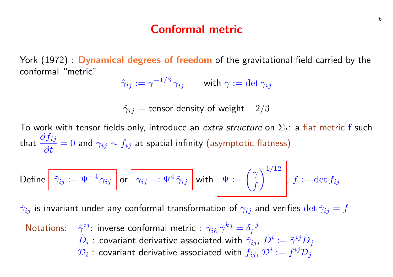#### Conformal metric

York (1972) : Dynamical degrees of freedom of the gravitational field carried by the conformal "metric"

$$
\hat{\gamma}_{ij} := \gamma^{-1/3} \gamma_{ij} \qquad \text{with } \gamma := \det \gamma_{ij}
$$

 $\hat{\gamma}_{ij}$  = tensor density of weight  $-2/3$ 

To work with tensor fields only, introduce an extra structure on  $\Sigma_t$ : a flat metric f such that  $\frac{\partial f_{ij}}{\partial x}$  $\frac{\partial^2 J_{ij}}{\partial t}=0$  and  $\gamma_{ij}\sim f_{ij}$  at spatial infinity (asymptotic flatness)

$$
\text{Define } \boxed{\tilde{\gamma}_{ij} := \Psi^{-4}\,\gamma_{ij}} \text{ or } \boxed{\gamma_{ij} =: \Psi^{4}\,\tilde{\gamma}_{ij}} \text{ with } \boxed{\Psi := \left(\frac{\gamma}{f}\right)^{1/12}}, \, f := \det f_{ij}
$$

 $\tilde{\gamma}_{ij}$  is invariant under any conformal transformation of  $\gamma_{ij}$  and verifies  $\det \tilde{\gamma}_{ij} = f$ 

Notations:  $\tilde{\gamma}^{ij}$ : inverse conformal metric :  $\tilde{\gamma}_{ik}\,\tilde{\gamma}^{kj}=\delta_i^{\;\;j}$ i  $\tilde{D}_i$  : covariant derivative associated with  $\tilde{\gamma}_{ij}$ ,  $\tilde{D}^i:=\tilde{\gamma}^{ij}\tilde{D}_j$  $\mathcal{D}_i$  : covariant derivative associated with  $f_{ij}$ ,  $\mathcal{D}^i:=f^{ij}\mathcal{D}_j$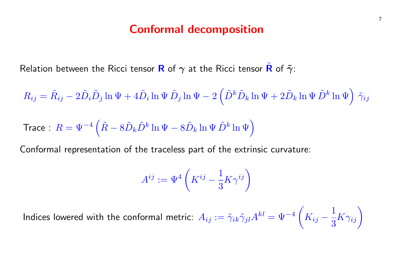#### Conformal decomposition

<span id="page-7-0"></span>Relation between the Ricci tensor **R** of  $\gamma$  at the Ricci tensor **R** of  $\tilde{\gamma}$ :

$$
R_{ij} = \tilde{R}_{ij} - 2\tilde{D}_i \tilde{D}_j \ln \Psi + 4\tilde{D}_i \ln \Psi \tilde{D}_j \ln \Psi - 2\left(\tilde{D}^k \tilde{D}_k \ln \Psi + 2\tilde{D}_k \ln \Psi \tilde{D}^k \ln \Psi\right) \tilde{\gamma}_{ij}
$$
  
Trace :  $R = \Psi^{-4} \left(\tilde{R} - 8\tilde{D}_k \tilde{D}^k \ln \Psi - 8\tilde{D}_k \ln \Psi \tilde{D}^k \ln \Psi\right)$ 

Conformal representation of the traceless part of the extrinsic curvature:

$$
A^{ij}:=\Psi^4\left(K^{ij}-\frac{1}{3}K\gamma^{ij}\right)
$$

Indices lowered with the conformal metric:  $A_{ij}:=\tilde{\gamma}_{ik}\tilde{\gamma}_{jl}A^{kl}=\Psi^{-4}$  $\overline{a}$  $K_{ij}$   $-$ 1 3  $K\gamma_{ij}$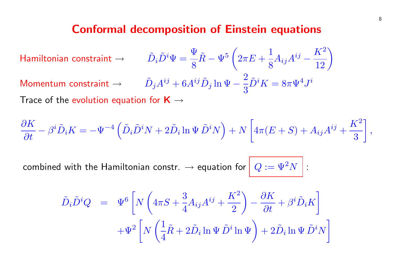#### **Conformal decomposition of Einstein equation**

<span id="page-8-0"></span>Hamiltonian constraint  $\rightarrow \qquad \tilde{D}_i \tilde{D}^i \Psi = \frac{\Psi}{\delta}$ 8  $\tilde{R}-\Psi^5$  $\mathcal{L}$  $2\pi E +$ 1 8  $A_{ij}$ Momentum constraint  $\rightarrow \qquad \tilde{D}_j A^{ij} + 6 A^{ij} \tilde{D}_j \ln \Psi -$ 2 3  $\tilde{D}^i K = 8$ Trace of the evolution equation for  $K \rightarrow$ 

$$
\frac{\partial K}{\partial t} - \beta^i \tilde{D}_i K = -\Psi^{-4} \left( \tilde{D}_i \tilde{D}^i N + 2 \tilde{D}_i \ln \Psi \tilde{D}^i N \right) + N \left[ 4\pi (E +
$$

combined with the Hamiltonian constr.  $\rightarrow$  equation for  $\boxed{Q := \Psi}$ 

$$
\tilde{D}_{i}\tilde{D}^{i}Q = \Psi^{6}\left[N\left(4\pi S + \frac{3}{4}A_{ij}A^{ij} + \frac{K^{2}}{2}\right) - \frac{\partial K}{\partial t} + \Psi^{2}\left[N\left(\frac{1}{4}\tilde{R} + 2\tilde{D}_{i}\ln\Psi\tilde{D}^{i}\ln\Psi\right) + 2\tilde{D}_{i}\right]\right]
$$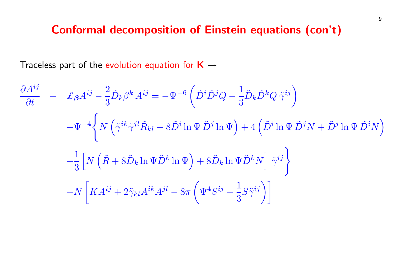# Conformal decomposition of Einstein equation

ij¶

Traceless part of the evolution equation for  $K \rightarrow$ 

$$
\frac{\partial A^{ij}}{\partial t} - \mathcal{L}_{\beta} A^{ij} - \frac{2}{3} \tilde{D}_{k} \beta^{k} A^{ij} = -\Psi^{-6} \left( \tilde{D}^{i} \tilde{D}^{j} Q - \frac{1}{3} \tilde{D}_{k} \tilde{D}^{k} Q \tilde{\gamma}^{i} \right)
$$

$$
+\Psi^{-4} \left\{ N \left( \tilde{\gamma}^{ik} \tilde{\gamma}^{jl} \tilde{R}_{kl} + 8 \tilde{D}^{i} \ln \Psi \tilde{D}^{j} \ln \Psi \right) + 4 \left( \tilde{D}^{i} \ln \Psi \right) \right\}
$$

$$
-\frac{1}{3} \left[ N \left( \tilde{R} + 8 \tilde{D}_{k} \ln \Psi \tilde{D}^{k} \ln \Psi \right) + 8 \tilde{D}_{k} \ln \Psi \tilde{D}^{k} N \right] \tilde{\gamma}^{ij}
$$

$$
+ N \left[ K A^{ij} + 2 \tilde{\gamma}_{kl} A^{ik} A^{jl} - 8 \pi \left( \Psi^{4} S^{ij} - \frac{1}{3} S \tilde{\gamma}^{ij} \right) \right]
$$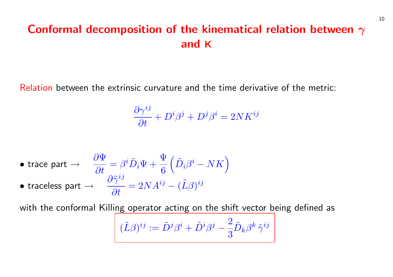# <span id="page-10-0"></span>Conformal decomposition of the kinematical rela and K

Relation between the extrinsic curvature and the time derivative of

$$
\frac{\partial \gamma^{ij}}{\partial t}+D^i\beta^j+D^j\beta^i=2NK^{ij}
$$

$$
\begin{aligned} \bullet\,\, &\text{trace part}\,\rightarrow &\frac{\partial\Psi}{\partial t}=\beta^i\tilde{D}_i\Psi+\frac{\Psi}{6}\left(\tilde{D}_i\beta^i-NK\right)\\ \bullet\,\, &\text{traceless part}\,\rightarrow &\frac{\partial\tilde{\gamma}^{ij}}{\partial t}=2NA^{ij}-(\tilde{L}\beta)^{ij} \end{aligned}
$$

with the conformal Killing operator acting on the shift vector bein

$$
(\tilde{L}\beta)^{ij}:=\tilde{D}^j\beta^i+\tilde{D}^i\beta^j-\frac{2}{3}\tilde{D}_k\beta^k\,\tilde{\gamma}^{ij}
$$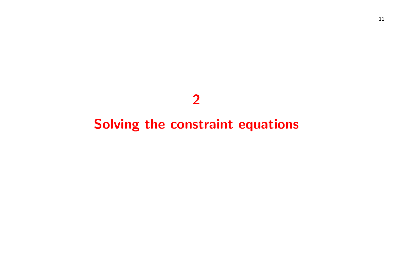# 

# Solving the constraint equations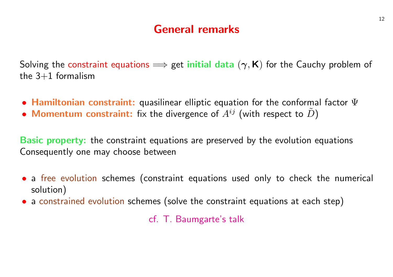## General remarks

Solving the constraint equations  $\implies$  get *initial data*  $(\gamma, K)$  for the the  $3+1$  formalism

- Hamiltonian constraint: quasilinear elliptic equation for the conformal
- Momentum constraint: fix the divergence of  $A^{ij}$  (with respect

Basic property: the constraint equations are preserved by the evolutions. Consequently one may choose between

- a free evolution schemes (constraint equations used only to solution)
- a constrained evolution schemes (solve the constraint equations

cf. T. Baumgarte's talk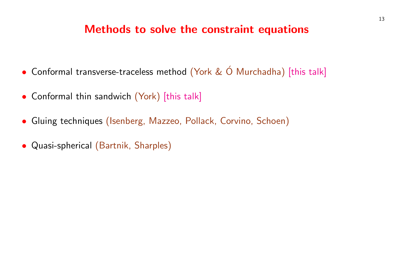#### Methods to solve the constraint equations

- Conformal transverse-traceless method (York & Ó Murchadha) [this talk]
- Conformal thin sandwich (York) [this talk]
- Gluing techniques (Isenberg, Mazzeo, Pollack, Corvino, Schoen)
- Quasi-spherical (Bartnik, Sharples)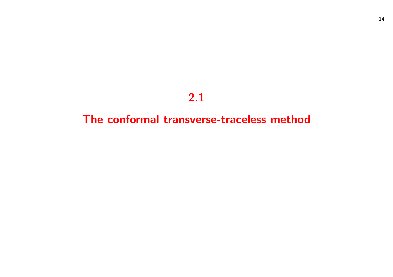# 2.1

## The conformal transverse-traceless method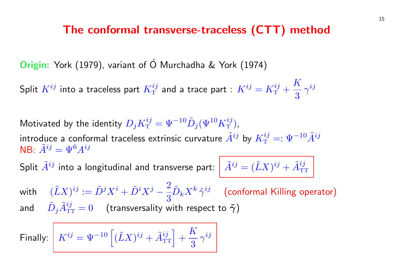### The conformal transverse-traceless (CTT)

[Orig](#page-7-0)in: York (1979), variant of Ó Murchadha & York (1974)

Split  $K^{ij}$  into a traceless part  $K^{ij}_{\rm T}$  and a trace part :  $K^{ij}=K^{ij}_{\rm T}$  -

Motivated by the identity  $D_j K^{ij}_{\rm T} = \Psi^{-10} \tilde{D}_j (\Psi^{10} K^{ij}_{\rm T}),$ introduce a conformal traceless extrinsic curvature  $\tilde{A}^{ij}$  by  $K_\mathrm{T}^{ij}=:$ NB:  $\tilde{A}^{ij} = \Psi^6 A^{ij}$ Split  $\tilde{A}^{ij}$  into a longitudinal and transverse part:  $\left|\right.\tilde{A}^{ij}=(\tilde{L}X)^{ij}$  with  $(\tilde{L}X)^{ij} := \tilde{D}^jX^i + \tilde{D}^iX^j - \tilde{D}^iX^j$ 2 3  $\tilde{D}_k X^k \, \tilde{\gamma}^{ij} \hspace{0.2in}$  (conformal Killi and  $\quad \tilde{D}_j \tilde{A}^{ij}_{\rm TT} = 0 \quad$  (transversality with respect to  $\boldsymbol{\tilde{\gamma}})$ Finally:  $\boxed{K^{ij} = \Psi^{-10} \left[ (\tilde{L} X)^{ij} + \tilde{A}^{ij}_{\rm TT} \right] + }$ K 3  $\gamma^{ij}$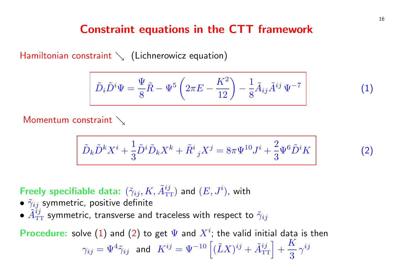### <span id="page-16-0"></span>[Constr](#page-8-0)aint equations in the CTT frame

Hamiltonian constraint  $\searrow$  (Lichnerowicz equation)

$$
\widetilde{D}_i \widetilde{D}^i \Psi = \frac{\Psi}{8} \widetilde{R} - \Psi^5 \left( 2\pi E - \frac{K^2}{12} \right) - \frac{1}{8} \widetilde{A}_{ij} \widetilde{A}^{ij} \, \Psi
$$

Momentum constraint  $\searrow$ 

$$
\tilde{D}_k \tilde{D}^k X^i + \frac{1}{3} \tilde{D}^i \tilde{D}_k X^k + \tilde{R}^i{}_j X^j = 8\pi \Psi^{10} J^i + \frac{2}{3} \Psi
$$

# Freely specifiable data:  $(\tilde{\gamma}_{ij}, K, \tilde{A}^{ij}_{\textrm{TT}})$  and  $(E, J^i)$ , with

- $\tilde{\gamma}_{ij}$  symmetric, positive definite
- $\bullet$   $\tilde{A}^{ij}_{\rm TT}$  symmetric, transverse and traceless with respect to  $\tilde{\gamma}_{ij}$

**Procedure:** solve (1) and (2) to get  $\Psi$  and  $X^i$ ; the valid initial d  $\gamma_{ij} = \Psi^4 \tilde{\gamma}_{ij}$  and  $K^{ij} = \Psi^{-10} \left[ (\tilde{L}X)^{ij} + \tilde{A}_{\text{TT}}^{ij} \right] +$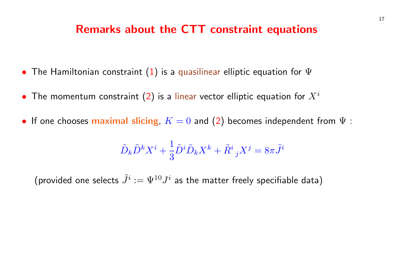#### Remarks about the CTT [co](#page-16-0)nstraint equ

- The Hamiltonian constraint  $(1)$  is a quasilinear elliptic equation
- $\bullet$  The momentum constraint  $(2)$  is a linear vector elliptic equation
- If one chooses maximal slicing,  $K = 0$  and  $(2)$  becomes indep

$$
\tilde{D}_k \tilde{D}^k X^i + \frac{1}{3} \tilde{D}^i \tilde{D}_k X^k + \tilde{R}^i_{\ j} X^j = 8\pi \tilde{J}^i
$$

(provided one selects  $\widetilde{J}^i:=\Psi^{10}J^i$  as the matter freely specifia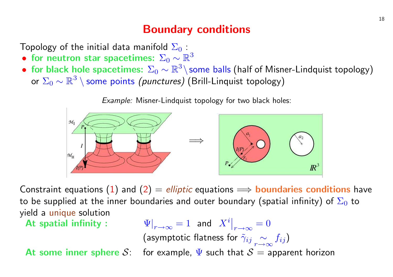### Boundary conditions

Topology of the initial data manifold  $\Sigma_0$  :

- for neutron star spacetimes:  $\Sigma_0 \sim \mathbb{R}^3$
- for black hole spacetimes:  $\Sigma_0 \sim \mathbb{R}^3 \setminus$ some balls (half of Misne or  $\Sigma_0 \sim \mathbb{R}^3 \setminus$  some points (punctures) (Brill-Linquist topology)

E[xam](#page-8-0)ple: M[isn](#page-16-0)er-Lindquist topology for two black hole



Constraint equations (1) and (2) = elliptic equations  $\implies$  boundary to be supplied at the inner boundaries and outer boundary (spatia yield a unique solution ¯

At spatial infinity :

 $r\rightarrow\infty$   $=$   $1$  and  $X^i$  $\begin{array}{c} \hline \end{array}$  $r \rightarrow \infty$  = 0 (asymptotic flatness for  $\tilde{\gamma}_{ij}$  ∼ r→∞  $f_{ij}$ At some inner sphere S: for example,  $\Psi$  such that  $S =$  apparent horizon.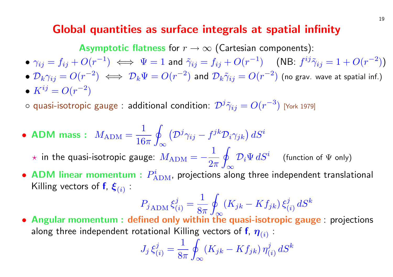#### Global quantities as surface integrals at spat

Asymptotic flatness for  $r \to \infty$  (Cartesian component

- $\bullet \,\,\gamma_{ij}=f_{ij}+O(r^{-1}) \,\,\Longleftrightarrow\,\,\Psi=1$  and  $\tilde{\gamma}_{ij}=f_{ij}+O(r^{-1}) \quad \ \ (\mathsf{N}% _{ij}+O_{i}+O_{i})=1$
- $\bullet$   $\mathcal{D}_k \gamma_{ij} = O(r^{-2}) \iff \mathcal{D}_k \Psi = O(r^{-2})$  and  $\mathcal{D}_k \tilde{\gamma}_{ij} = O(r^{-2})$  (i •  $K^{ij} = O(r^{-2})$
- 
- $\circ$  quasi-isotropic gauge : additional condition:  $\mathcal{D}^j \tilde{\gamma}_{ij} = O(r^{-3})$  [
- ADM mass :  $M_{\rm ADM} =$ 1 16π ∞ ¡  $\mathcal{D}^j \gamma_{ij} - f^{jk} \mathcal{D}_i \gamma_{jk} \big) \, dS^i$

 $\star$  in the quasi-isotropic gauge:  $M_\mathrm{ADM} = -$ 1  $2\pi$   $\int_{\infty}$  $\mathcal{D}_i \Psi \, dS^i$  $($ 

• ADM linear momentum :  $P_{\rm ADM}^i$ , projections along three inde Killing vectors of f,  $\xi_{(i)}$ :

$$
P_{j\text{ADM}}\,\xi_{(i)}^j = \frac{1}{8\pi} \oint_{\infty} \left( K_{jk} - K f_{jk} \right) \xi
$$

• Angular momentum : defined only within the quasi-isotrop along three independent rotational Killing vectors of  ${\sf f},~\bm{\eta}_{(i)}$  :  $\prod$ 

$$
J_j \xi_{(i)}^j = \frac{1}{8\pi} \oint_{\infty} (K_{jk} - K f_{jk}) \eta_{(i)}^j d\xi
$$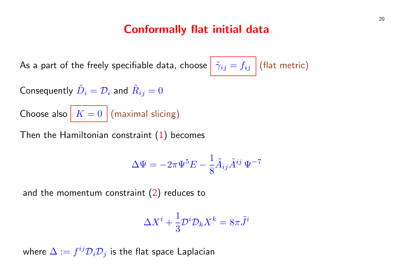#### Conformally flat initial data

As a part of the freely specifiable data, choose  $\Big|\ \tilde{\gamma}_{ij}=f_{ij}\ \Big|$  (flat m Consequently  $\tilde{D}_i = \mathcal{D}_i$  and  $\tilde{R}_{ij} = 0$ Choose also  $\boxed{K = 0}$  (maximal slicing) Then the Hamiltonian constraint  $(1)$  becomes

$$
\Delta \Psi = -2\pi \Psi^5 E - \frac{1}{8} \tilde{A}_{ij} \tilde{A}^{ij} \Psi^{-7}
$$

and the momentum constraint  $(2)$  reduces to

$$
\Delta X^i + \frac{1}{3} \mathcal{D}^i \mathcal{D}_k X^k = 8\pi \tilde{J}^i
$$

where  $\Delta:=f^{ij}\mathcal{D}_{i}\mathcal{D}_{j}$  is the flat space Laplacian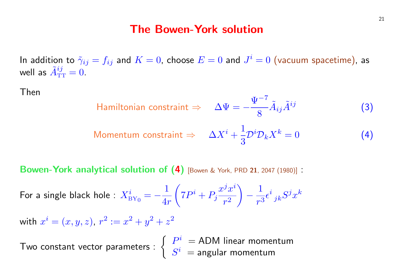#### The Bowen-York solution

In addition to  $\tilde{\gamma}_{ij}=f_{ij}$  and  $K=0$ , choose  $E=0$  and  $J^i=0$  (va well as  $\tilde{A}^{ij}_{\rm TT}=0$  .

Then

Hamiltonian constraint 
$$
\Rightarrow \Delta \Psi = -\frac{\Psi^{-7}}{8} \tilde{A}_{ij} A_{ij}
$$
  
Momentum constraint  $\Rightarrow \Delta X^i + \frac{1}{3} D^i D_k X^k$ 

Bowen-York analytical solution of  $(4)$  [Bowen & York, PRD 21, 2047 (1981)

For a single black hole  $\colon X^i_{\mathrm{BY}_0}=-$ 1 4r  $\mathcal{L}$  $7P^i+P_j$  $x^jx^i$  $r^2$  $\mathbf{r}$ − 1  $\frac{1}{r^3} \epsilon^i_{\phantom{i}jk}$ 

with  $x^i = (x, y, z)$ ,  $r^2 := x^2 + y^2 + z^2$ 

Two constant vector parameters :  $\left\{\right.$  $P^i\ = {\sf ADM}$  linear momentu  $S^i\ =$  angular momentum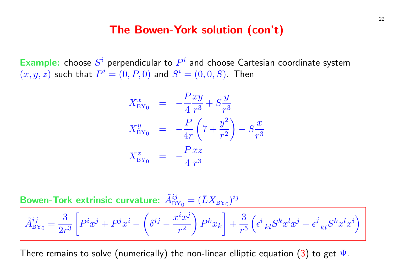#### The Bowen-York solution (con't)

**Example:** choose  $S^i$  perpendicular to  $P^i$  and choose Cartesian co  $(x, y, z)$  such that  $P^{i} = (0, P, 0)$  and  $S^{i} = (0, 0, S)$ . Then

$$
X_{\text{BY}_0}^x = -\frac{P}{4} \frac{xy}{r^3} + S \frac{y}{r^3}
$$
  
\n
$$
X_{\text{BY}_0}^y = -\frac{P}{4r} \left(7 + \frac{y^2}{r^2}\right) - S \frac{x}{r^3}
$$
  
\n
$$
X_{\text{BY}_0}^z = -\frac{P}{4} \frac{xz}{r^3}
$$

Bowen-Tork extrinsic curvature:  $\tilde{A}^{ij}_{\mathrm{BY}_0} = (\bar{L}X_{\mathrm{BY}_0})^{ij}$  $\tilde{A}_\mathrm{BY_0}^{ij} =$ 3  $2r^3$ ·  $P^i x^j + P^j x^i$  $\overline{ }$  $\delta^{ij}$   $$  $x^i x^j$  $r^2$  $\overline{a}$  $P^kx_k$ —̀<br>¬  $+$ 3  $r^5$  $\overline{a}$  $\epsilon^i\,{}_{kl}S^k$ 

There remains to solve (numerically) the non-linear elliptic equation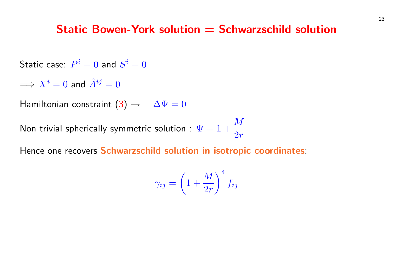### Static Bowen-York solution = Schwarzschild

Static case:  $P^i=0$  and  $S^i=0$ 

 $\Longrightarrow X^i=0$  and  $\tilde{A}^{ij}=0$ 

Hamiltonian constraint  $(3) \rightarrow \Delta \Psi = 0$ 

Non trivial spherically symmetric solution :  $\Psi=1+\frac{M}{2}$  $2r$ 

Hence one recovers Schwarzschild solution in isotropic coordin

$$
\gamma_{ij} = \left(1 + \frac{M}{2r}\right)^4 f_{ij}
$$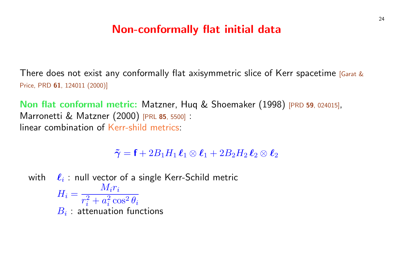### Non-[conforma](http://publish.aps.org/abstract/PRL/v85/p5500)lly flat initial data

There does not exist any conformally flat axisymmetric slice of Ke Price, PRD 61, 124011 (2000)]

Non flat conformal metric: Matzner, Huq & Shoemaker (1998) Marronetti & Matzner (2000) [PRL <sup>85</sup>, 5500] : linear combination of Kerr-shild metrics:

 $\tilde{\gamma} = \mathbf{f} + 2B_1H_1 \,\boldsymbol{\ell}_1 \otimes \boldsymbol{\ell}_1 + 2B_2H_2 \,\boldsymbol{\ell}_2 \otimes \boldsymbol{\ell}_2$ 

with  $\ell_i$ : null vector of a single Kerr-Schild metric  $H_i =$  $M_i r_i$  $r_i^2 + a_i^2$  $_i^2 \cos^2 \theta_i$  $\overline{B_i}$  : attenuation functions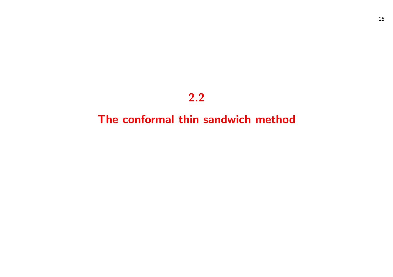# 2.2

# The conformal thin sandwich method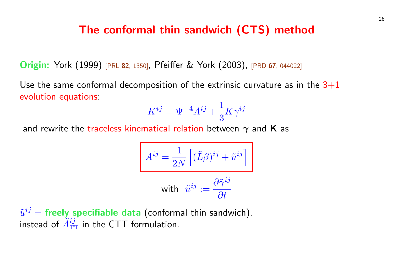#### [The conformal thin sand](#page-10-0)wich (CTS) method

Origin: York (1999) [PRL 82, 1350], Pfeiffer & York (2003), [PRD 67, 04

Use the same conformal decomposition of the extrinsic curvature as evolution equations:

$$
K^{ij} = \Psi^{-4}A^{ij} + \frac{1}{3}K\gamma^{ij}
$$

and rewrite the traceless kinematical relation between  $\gamma$  and K a

$$
A^{ij} = \frac{1}{2N} \left[ (\tilde{L}\beta)^{ij} + \tilde{u}^{ij} \right]
$$
  
with  $\tilde{u}^{ij} := \frac{\partial \tilde{\gamma}^{ij}}{\partial t}$ 

 $\tilde{u}^{ij} =$  freely specifiable data (conformal thin sandwich), instead of  $\tilde{A}^{ij}_{\textrm{\tiny TT}}$  in the CTT formulation.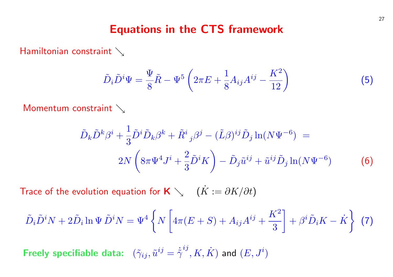# Equations in the CTS framework

Hamiltonian constraint  $\searrow$ 

$$
\tilde{D}_i \tilde{D}^i \Psi = \frac{\Psi}{8} \tilde{R} - \Psi^5 \left( 2\pi E + \frac{1}{8} A_{ij} A^{ij} - \frac{K^2}{12} \right)
$$

[Momentum constraint](#page-8-0)  $\searrow$ 

$$
\tilde{D}_{k}\tilde{D}^{k}\beta^{i} + \frac{1}{3}\tilde{D}^{i}\tilde{D}_{k}\beta^{k} + \tilde{R}^{i}{}_{j}\beta^{j} - (\tilde{L}\beta)^{ij}\tilde{D}_{j}\ln(N\Psi^{+})
$$

$$
2N\left(8\pi\Psi^{4}J^{i} + \frac{2}{3}\tilde{D}^{i}K\right) - \tilde{D}_{j}\tilde{u}^{ij} + \tilde{u}^{ij}\tilde{D}_{j}
$$

Trace of the evolution equation for  $\mathsf{K} \searrow (\dot{K} := \partial K / \partial t)$ 

$$
\tilde{D}_i \tilde{D}^i N + 2 \tilde{D}_i \ln \Psi \tilde{D}^i N = \Psi^4 \left\{ N \left[ 4\pi (E + S) + A_{ij} A^{ij} + \frac{K^2}{3} \right] \right\}
$$

Freely specifiable data:  $(\tilde{\gamma}_{ij}, \tilde{u}^{ij} = \dot{\tilde{\gamma}}^{ij}, K, \dot{K})$  and  $(E, J^i)$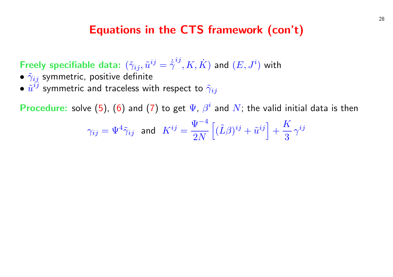### Equations in the CTS framework (cont

Freely specifiable data:  $(\tilde{\gamma}_{ij}, \tilde{u}^{ij} = \dot{\tilde{\gamma}}^{ij}, K, \dot{K})$  and  $(E, J^i)$  with •  $\tilde{\gamma}_{ij}$  symmetric, positive definite

 $\bullet$   $\tilde{u}^{ij}$  symmetric and traceless with respect to  $\tilde{\gamma}_{ij}$ 

Procedure: solve (5), (6) and (7) to get  $\Psi$ ,  $\beta^i$  and  $N$ ; the valid

 $\gamma_{ij}=\Psi^4\tilde\gamma_{ij}$  and  $K^{ij}=$  $\Psi^{-4}$  $2N$ h  $(\tilde{L}\beta)^{ij}+\tilde{u}$  $ij$  $+$  $\overline{I}$ ا<br>3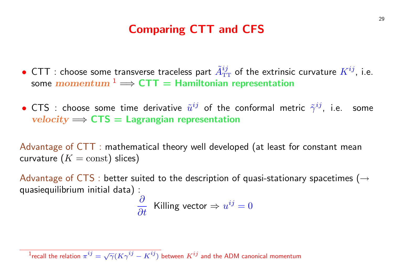# Comparing CTT and CFS

- $\bullet$  CTT : choose some transverse traceless part  $\tilde{A}^{ij}_{\mathrm{TT}}$  of the extrin: some  $momentum$ <sup>1</sup>  $\Longrightarrow$  CTT = Hamiltonian representation
- CTS : choose some time derivative  $\tilde{u}^{ij}$  of the conformal m  $velocity \implies CTS = Lagrangian representation$

Advantage of CTT : mathematical theory well developed (at least curvature  $(K = const)$  slices)

Advantage of CTS : better suited to the description of quasi-station quasiequilibrium initial data) :

$$
\frac{\partial}{\partial t} \text{ Killing vector} \Rightarrow u^{ij} = 0
$$

 $\overline{1}$ recall the relation  $\pi^{ij}=\sqrt{\gamma}(K\gamma^{ij}-K^{ij})$  between  $K^{ij}$  and the ADM canonical mome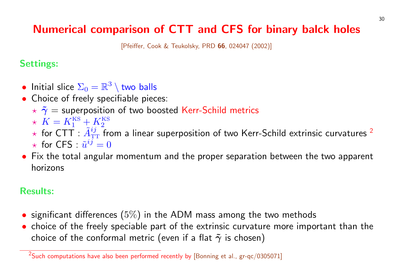# Numerical comparison of CTT and CFS for bina

[Pfeiffer, Cook & Teukolsky, PRD 66, 024047 (2002)]

### Settings:

- Initial slice  $\Sigma_0 = \mathbb{R}^3 \setminus$  two balls
- Choice of freely specifiable pieces:
	- $\dot{\gamma}$  = superposition of two boosted Kerr-Schild metrics
	- $\star$   $K = K_1^{\text{KS}} + K_2^{\text{KS}}$
	- $\star$  for CTT :  $\tilde{A}_{\textrm{TT}}^{ij}$  from a linear superposition of two Kerr-Schild
	- $\star$  for <code>CFS</code> :  $\tilde{u}^{i\bar{j}}=0$
- Fix the total angular momentum and th[e proper separation betw](http://arxiv.org/abs/gr-qc/0305071) horizons

#### Results:

- significant differences  $(5\%)$  in the ADM mass among the two r
- choice of the freely speciable part of the extrinsic curvature mo choice of the conformal metric (even if a flat  $\tilde{\gamma}$  is chosen)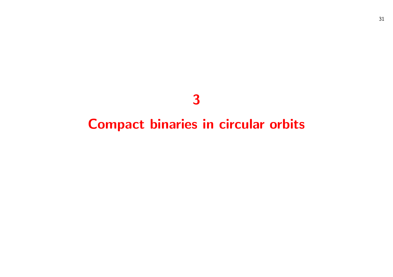# 

# Compact binaries in circular orbits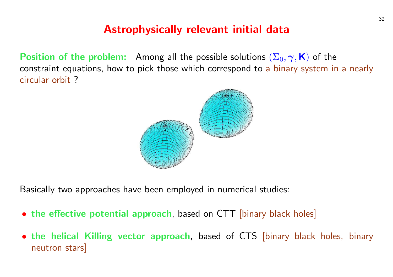### Astrophysically relevant initial data

**Position of the problem:** Among all the possible solutions  $(\Sigma_0, \gamma, \mathbf{K})$  of the constraint equations, how to pick those which correspond to a binary system in a nearly circular orbit ?



Basically two approaches have been employed in numerical studies:

- the effective potential approach, based on CTT [binary black holes]
- the helical Killing vector approach, based of CTS [binary black holes, binary neutron stars]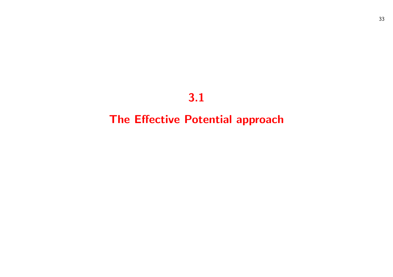# 3.1

# The Effective Potential approach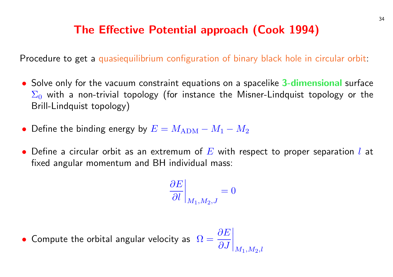# The Effective Potential approach (Cook 1994)

Procedure to get a quasiequilibrium configuration of binary black hole in circular orbit:

- Solve only for the vacuum constraint equations on a spacelike 3-dimensional surface  $\Sigma_0$  with a non-trivial topology (for instance the Misner-Lindquist topology or the Brill-Lindquist topology)
- Define the binding energy by  $E = M_{\rm ADM} M_1 M_2$
- Define a circular orbit as an extremum of  $E$  with respect to proper separation  $l$  at fixed angular momentum and BH individual mass:

$$
\left.\frac{\partial E}{\partial l}\right|_{M_1,M_2,J}=0
$$

• Compute the orbital angular velocity as  $\Omega = \frac{\partial E}{\partial \sigma}$  $\overline{\partial}J$ ¯  $\begin{array}{c} \hline \end{array}$  $\overline{\phantom{a}}$  $\overline{\phantom{a}}$  $M_1,M_2,l$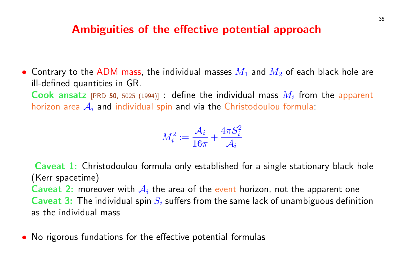#### Ambiguities of the effective potential ap

 $\bullet$  Contrary to the ADM mass, the individual masses  $M_1$  and  $M_2$ ill-defined quantities in GR.

Cook ansatz [PRD 50, 5025 (1994)] : define the individual mass  $N$ horizon area  $A_i$  and individual spin and via the Christodoulou for

$$
M_i^2:=\frac{\mathcal{A}_i}{16\pi}+\frac{4\pi S_i^2}{\mathcal{A}_i}
$$

Caveat 1: Christodoulou formula only established for a single (Kerr spacetime) **Caveat 2:** moreover with  $A_i$  the area of the event horizon, not **Caveat 3:** The individual spin  $S_i$  suffers from the same lack of u as the individual mass

• No rigorous fundations for the effective potential formulas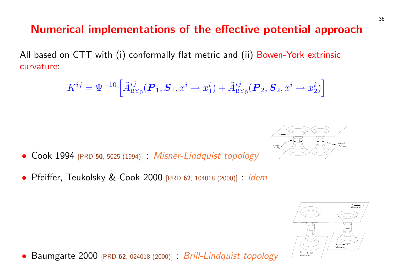#### Numerical implementations of the effective pote

All based on CTT with (i) conformally flat metric and (ii) Bowencurvature:

$$
K^{ij} = \Psi^{-10}\left[\tilde{A}_{\textrm{BY}_0}^{ij}(\boldsymbol{P}_1, \boldsymbol{S}_1, x^i \rightarrow x_1^i) + \tilde{A}_{\textrm{BY}_0}^{ij}(\boldsymbol{P}_2, \boldsymbol{S}_2, x^i)\right]
$$

Gorge *1*  $r_1 = a_1$ 

*r*

• Cook 1994 [PRD 50, 5025 (1994)] : Misner-Lindquist topology

• Pfeiffer, Teukolsky & Cook 2000 [PRD <sup>62</sup>, 104018 (2000)] : idem

• Baumgarte 2000 [PRD 62, 024018 (2000)] : Brill-Lindquist topology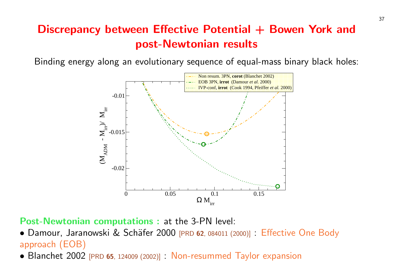# Discrepancy between Effective Potential + Bow post-Newtonian results

Binding energy along an evolutionary sequence of equal-mass



Post-Newtonian computations : at the 3-PN level:

• Damour, Jaranowski & Schäfer 2000 [PRD 62, 084011 (2000)] : Effect approach (EOB)

• Blanchet 2002 [PRD 65, 124009 (2002)] : Non-resummed Taylor expan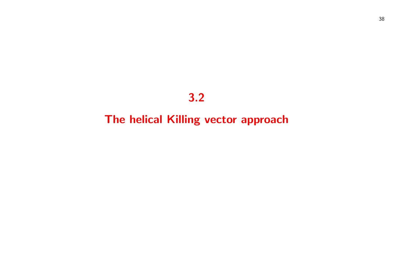# 3.2

# The helical Killing vector approach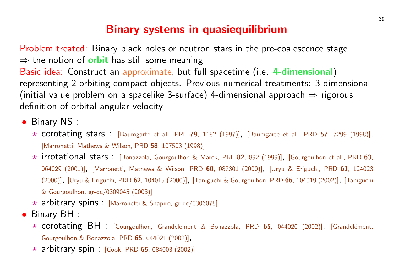# Binary systems in quasiequilibrium

Problem treated: [Binary](http://publish.aps.org/abstract/PRD/v58/e107503) [black](http://prola.aps.org/abstract/PRL/v79/i7/p1182_1)[holes](http://prola.aps.org/abstract/PRL/v79/i7/p1182_1) [or](http://prola.aps.org/abstract/PRL/v79/i7/p1182_1) [neutron stars in](http://prola.aps.org/abstract/PRL/v79/i7/p1182_1) the pre-co  $\Rightarrow$  the notion of **orbit** has still some meaning

Basic idea: Construct an [approximate, but full spacetime \(i.e.](http://prola.aps.org/abstract/PRL/v82/i5/p892_1) 4-dominal) repre[senting 2 or](http://publish.aps.org/abstract/PRD/v63/e064029)[biting compact objects. Pr](http://publish.aps.org/abstract/PRD/v60/e087301)evious numerical treation (initi[al valu](http://publish.aps.org/abstract/PRD/v61/e124023)[e problem on a spacelike 3-surf](http://publish.aps.org/abstract/PRD/v62/e104015)ace) 4-dimensional approach ⇒ defin[ition of orbital angular](http://arxiv.org/abs/gr-qc/0309045)[veloc](http://arxiv.org/abs/gr-qc/0309045)[ity](http://arxiv.org/abs/gr-qc/0306075)

- Binary NS :
	- $\star$  Corotating stars : [Baumgarte et al., PRL 79, 1182 (1997)], [Baumgarte et al., PRL 79, 1182 (1997)], [Baumgarte e [\[Marronetti, Mathews & Wilson, PRD](http://publish.aps.org/abstract/PRD/v65/e044021) 58, 107503 (1998)]
	- $\star$  irrotational stars : [\[Bonazzola, Gourgoulhon &](http://publish.aps.org/abstract/PRD/v65/e084003) Marck, PRL 82, 892 (1999)], 064029 (2001)], [Marronetti, Mathews & Wilson, PRD 60, 087301 (2000)], [Uryu (2000)], [Uryu & Eriguchi, PRD 62, 104015 (2000)], [Taniguchi & Gourgoulhon, PRD & Gourgoulhon, gr-qc/0309045 (2003)]
	- $\star$  arbitrary spins : [Marronetti & Shapiro, gr-qc/0306075]

• Binary BH :

- $\star$  corotating BH : [Gourgoulhon, Grandclément & Bonazzola, PRD 65, 044 Gourgoulhon & Bonazzola, PRD <sup>65</sup>, 044021 (2002)],
- $\star$  arbitrary spin : [Cook, PRD 65, 084003 (2002)]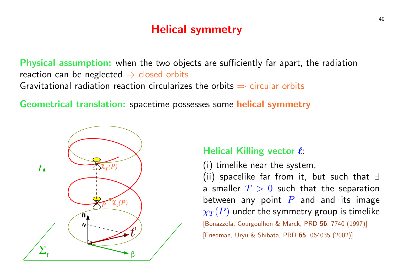## Helical symmetry

Physical assumption: when the two objects are sufficiently far apart, the radiation reaction can be neglected  $\Rightarrow$  closed orbits Gravitational radiation reaction circularizes the orbits  $\Rightarrow$  circular c

Geometrical translation: spacetime possesses some helical sym



#### **Helical Killing vect**

 $(i)$  timelike near the  $(iii)$  spacelike far fro a smaller  $T > 0$  su between any point  $\chi_T(P)$  under the syn [Bonazzola, Gourgoulhon & N [Friedman, Uryu & Shibata, F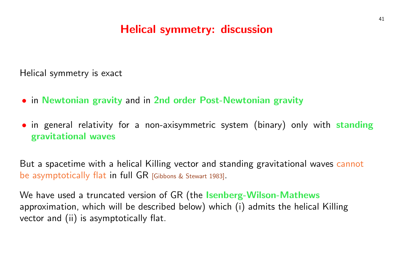# Helical symmetry: discussion

Helical symmetry is exact

- · in Newtonian gravity and in 2nd order Post-Newtonian gra
- in general relativity for a non-axisymmetric system (binary) gravitational waves

But a spacetime with a helical Killing vector and standing gravitat be asymptotically flat in full GR [Gibbons & Stewart 1983].

We have used a truncated version of GR (the Isenberg-Wilson-Nathews approximation, which will be described below) which (i) admits the vector and (ii) is asymptotically flat.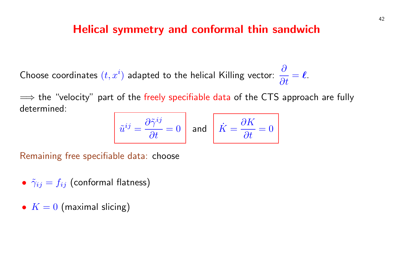### Helical symmetry and conformal thin san

Choose coordinates  $(t, x^i)$  adapted to the helical Killing vector:  $\frac{\hat{b}}{\Omega}$  $\partial$ 

 $\implies$  the "velocity" part of the freely specifiable data of the CTS a determined:

$$
\tilde u^{ij} = \frac{\partial \tilde \gamma^{ij}}{\partial t} = 0 \quad \text{and} \quad \dot K =
$$



Remaining free specifiable data: choose

- $\tilde{\gamma}_{ij} = f_{ij}$  (conformal flatness)
- $K = 0$  (maximal slicing)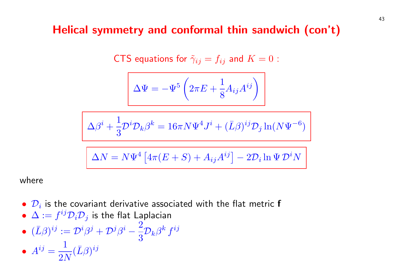#### Helical symmetry and conformal thin sandwi

CTS equations for 
$$
\tilde{\gamma}_{ij} = f_{ij}
$$
 and  $K = 0$ :

$$
\Delta \Psi = -\Psi^5 \left(2\pi E + \frac{1}{8} A_{ij} A^{ij}\right)
$$

$$
\Delta\beta^{i} + \frac{1}{3} \mathcal{D}^{i} \mathcal{D}_{k} \beta^{k} = 16\pi N \Psi^{4} J^{i} + (\bar{L}\beta)^{ij} \mathcal{D}_{j} \ln(N^{i})
$$

$$
\Delta N = N\Psi^4 \left[ 4\pi (E + S) + A_{ij} A^{ij} \right] - 2\mathcal{D}_i \ln \Psi \mathcal{I}
$$

#### where

- $\bullet$   $\mathcal{D}_i$  is the covariant derivative associated with the flat metric f
- $\bullet\:\: \Delta := f^{ij}{\cal D}_i{\cal D}_j$  is the flat Laplacian

• 
$$
(\bar{L}\beta)^{ij} := \mathcal{D}^i \beta^j + \mathcal{D}^j \beta^i - \frac{2}{3} \mathcal{D}_k \beta^k f^{ij}
$$

 $\bullet$   $A^{ij} =$ 1  $2N$  $(\bar{L}\beta)^{ij}$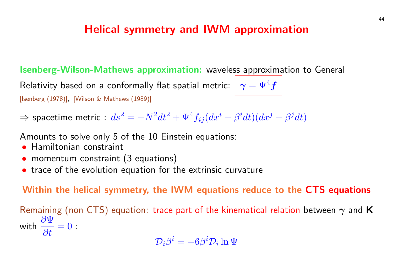## Helical symmetry and IWM approximation

Isenberg-Wilson-Mathews approximation: waveless approximation

Relativity based on a conformally flat spatial metric:  $\left|\right. \gamma =\Psi ^{4}f\left. \right|$ [Isenberg (1978)], [Wilson & Mathews (1989)]

 $\Rightarrow$  spacetime metric :  $ds^2=-N^2dt^2+\Psi^4f_{ij}(dx^i+\beta^i dt)(dx^j+\beta^j dt)$ 

Amounts to solve only 5 of the 10 Einstein equations:

- Hamiltonian constraint
- momentum constraint (3 equations)
- trace of the evolution equation for the extrinsic curvature

#### Within the helical symmetry, the IWM equations reduce to

Remaining (non CTS) equation: trace part of the kinematical relation between  $\overline{K}$ with  $\frac{\partial \Psi}{\partial t}$  $\frac{\partial}{\partial t} = 0$  :

$$
\mathcal{D}_i\beta^i=-6\beta^i\mathcal{D}_i\ln\Psi
$$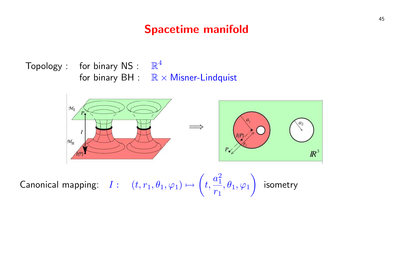## Spacetime manifold

Topology : for binary NS :  $\mathbb{R}^4$ for binary  $BH \cong \mathbb{R} \times M$ isner-Lindquist



Canonical mapping:  $I:=(t, r_1, \theta_1, \varphi_1) \mapsto$  $\mathcal{L}$ t,  $a_1^2$ 1  $r_1$  $,\theta_1,\varphi_1$  $\mathbf{r}$ isometry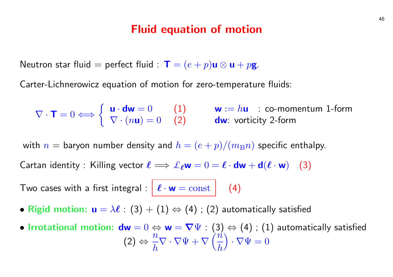### Fluid equation of motion

<span id="page-46-0"></span>Neutron star fluid = perfect fluid :  $\mathbf{T} = (e + p)\mathbf{u} \otimes \mathbf{u} + p\mathbf{g}$ .

Carter-Lichnerowicz equation of motion for zero-temperature fluids:

$$
\nabla \cdot \mathbf{T} = 0 \Longleftrightarrow \left\{ \begin{array}{ll} \mathbf{u} \cdot \mathbf{dw} = 0 & (1) \\ \nabla \cdot (n\mathbf{u}) = 0 & (2) \end{array} \right. \quad \text{or} \quad \mathbf{w} := h\mathbf{u} \quad \text{: co-momentum 1-form}
$$

with  $n =$  baryon number density and  $h = (e + p)/(m_B n)$  specific enthalpy.

Cartan identity : Killing vector  $\ell \Longrightarrow \mathcal{L}_{\ell}w = 0 = \ell \cdot dw + d(\ell \cdot w)$  (3)

Two cases with a first integral :  $\ell \cdot w = \text{const}$  | (4)

- Rigid motion:  $u = \lambda \ell$  : (3) + (1)  $\Leftrightarrow$  (4) ; (2) automatically satisfied
- Irrotational motion:  $dw = 0 \Leftrightarrow w = \nabla \Psi : (3) \Leftrightarrow (4)$  ; (1) automatically satisfied  $(2)$  ⇔  $\overline{n}$  $\boldsymbol{h}$  $\nabla \cdot \nabla \Psi + \nabla$  $\binom{3}{n}$  $\boldsymbol{h}$  $\cdot \, \nabla \Psi = 0$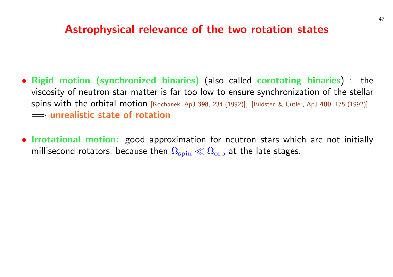### Astrophysical relevance of the two rotation

- Rigid motion (synchronized binaries) (also called corotation viscosity of neutron star matter is far too low to ensure synchro spins with the orbital motion [Kochanek, ApJ 398, 234 (1992)], [Bildsten &  $\implies$  unrealistic state of rotation
- Irrotational motion: good approximation for neutron stars v millisecond rotators, because then  $\Omega_\mathrm{spin}\ll\Omega_\mathrm{orb}$  at the late sta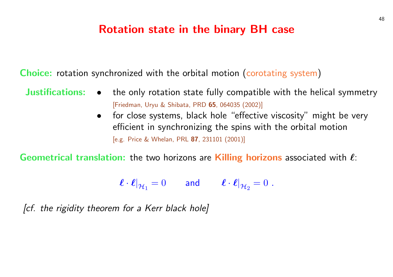### Rotation state in the binary BH case

Choice: rotation synchronized with the orbital motion (corotating

- Justifications: the only rotation state fully compatible wit [Friedman, Uryu & Shibata, PRD 65, 064035 (2002)]
	- for close systems, black hole "effective visco efficient in synchronizing the spins with the [e.g. Price & Whelan, PRL 87, 231101 (2001)]

Geometrical translation: the two horizons are Killing horizons

 $\left.\boldsymbol{\ell}\cdot\boldsymbol{\ell}\right|_{\mathcal{H}_1}=0\qquad \text{and}\qquad \left.\boldsymbol{\ell}\cdot\boldsymbol{\ell}\right|_{\mathcal{H}_2}=0\;.$ 

[cf. the rigidity theorem for a Kerr black hole]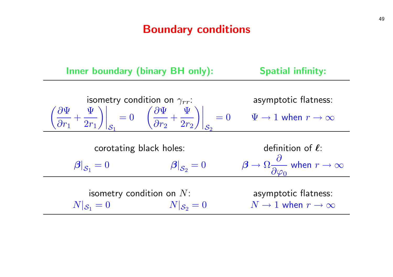### Boundary conditions

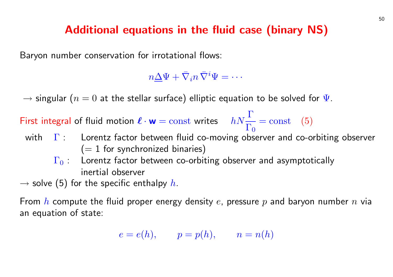# [A](#page-46-0)dditional equations in the fluid case (binary

Baryon number conservation for irrotational flows:

 $n\underline{\Delta}\Psi+\bar{\nabla}_in\bar{\nabla}^i\Psi=\cdots$ 

 $\rightarrow$  singular  $(n = 0$  at the stellar surface) elliptic equation to be solved

First integral of fluid motion  $\ell \cdot \mathbf{w} = \text{const}$  writes  $hN \frac{\Gamma}{\Gamma}$  $\Gamma_0$  $=$  cons

- with  $\Gamma$  : Lorentz factor between fluid co-moving observer ar  $(= 1$  for synchronized binaries)
	- $\Gamma_0$  : Lorentz factor between co-orbiting observer and as inertial observer
- $\rightarrow$  solve (5) for the specific enthalpy h.

From h compute the fluid proper energy density e, pressure  $p$  and an equation of state:

$$
e = e(h), \qquad p = p(h), \qquad n = n(h)
$$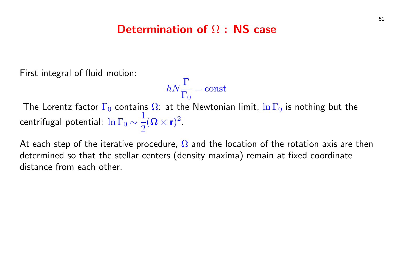### Determination of Ω : NS case

First integral of fluid motion:

$$
hN\frac{\Gamma}{\Gamma_0}=\mathrm{const}
$$

The Lorentz factor  $\Gamma_0$  contains  $\Omega$ : at the Newtonian limit,  $\ln \Gamma_0$  is nothing but the centrifugal potential:  $\ln\Gamma_0\sim$ 1 2  $(\boldsymbol{\Omega}\times \textbf{r})^2$  .

At each step of the iterative procedure,  $\Omega$  and the location of the rotation axis are then determined so that the stellar centers (density maxima) remain at fixed coordinate distance from each other.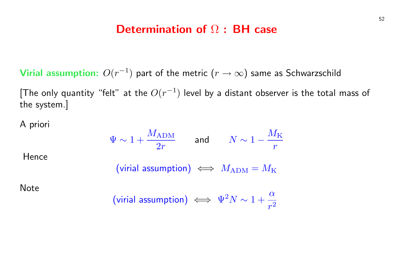### Determination of Ω : BH case

Virial assumption:  $O(r^{-1})$  part of the metric  $(r\rightarrow\infty)$  same as Schwarzschild

[The only quantity "felt" at the  $O(r^{-1})$  level by a distant observer is the total mass of the system.]

A priori

Hence

Note

$$
\Psi \sim 1 + \frac{M_{\text{ADM}}}{2r} \qquad \text{and} \qquad N \sim 1 - \frac{M_{\text{K}}}{r}
$$
\n(virial assumption)

\n
$$
\iff M_{\text{ADM}} = M_{\text{K}}
$$
\n(virial assumption)

\n
$$
\iff \Psi^2 N \sim 1 + \frac{\alpha}{r^2}
$$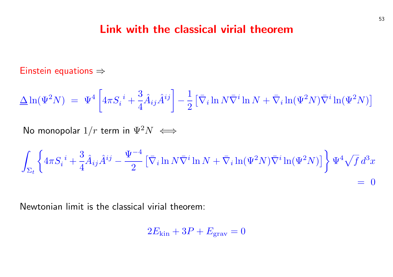#### Link with the classical virial theorer

 $\ddot{\phantom{}}$ 

Einstein equations ⇒

$$
\Delta \ln(\Psi^2 N) = \Psi^4 \left[ 4\pi S_i^i + \frac{3}{4} \hat{A}_{ij} \hat{A}^{ij} \right] - \frac{1}{2} \left[ \bar{\nabla}_i \ln N \bar{\nabla}^i \ln N + \bar{\nabla}_i \right]
$$

No monopolar  $1/r$  term in  $\Psi^2 N \iff$ 

$$
\int_{\Sigma_t}\Bigg\{4\pi S_i^{\ i}+\frac{3}{4}\hat{A}_{ij}\hat{A}^{ij}-\frac{\Psi^{-4}}{2}\left[\bar{\nabla}_i\ln N\bar{\nabla}^i\ln N+\bar{\nabla}_i\ln(\Psi^2N)\bar{\nabla}^i\right]\Bigg\}
$$

Newtonian limit is the classical virial theorem:

$$
2E_{\rm kin} + 3P + E_{\rm grav} = 0
$$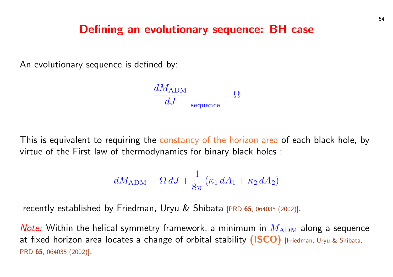#### Defining an evolutionary sequence: BH

An evolutionary sequence is defined by:

$$
\left. \frac{dM_{\rm ADM}}{dJ} \right|_{\rm sequence} = \Omega
$$

This is equivalent to requiring the constancy of the horizon area of virtue of the First law of thermodynamics for binary black holes :

$$
dM_{\rm ADM} = \Omega \, dJ + \frac{1}{8\pi} \left( \kappa_1 \, dA_1 + \kappa_2 \, dA_2 \right)
$$

recently established by Friedman, Uryu & Shibata [PRD 65, 064035 (2002)].

Note: Within the helical symmetry framework, a minimum in  $M_{\rm Al}$ at fixed horizon area locates a change of orbital stability (ISCO) PRD <sup>65</sup>, 064035 (2002)].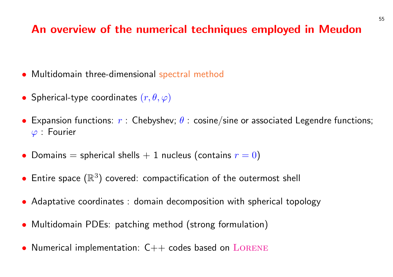# An overview of the numerical techniques employ

- Multidomain three-dimensional spectral method
- Spherical-type coordinates  $(r, \theta, \varphi)$
- Expansion functions:  $r$  : Chebyshev;  $\theta$  : cosine/sine or associate  $\varphi$  : Fourier
- Domains = spherical shells  $+$  1 nucleus (contains  $r = 0$  $r = 0$ )
- Entire space  $(\mathbb{R}^3)$  covered: compactification of the outermost s
- Adaptative coordinates : domain decomposition with spherical
- Multidomain PDEs: patching method (strong formulation)
- Numerical implementation:  $C++$  codes based on  $L{\rm ORENE}$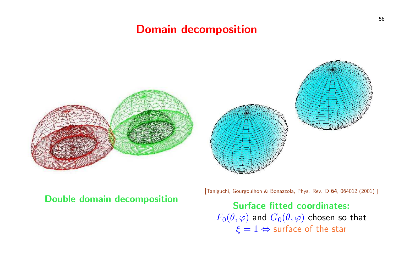# Domain decomposition



Double domain decomposition

[Taniguchi, Gourgoulhon & Bonazz

Surface fitte  $F_0(\theta, \varphi)$  and  $G_0(\theta)$  $\xi = 1 \Leftrightarrow$  sur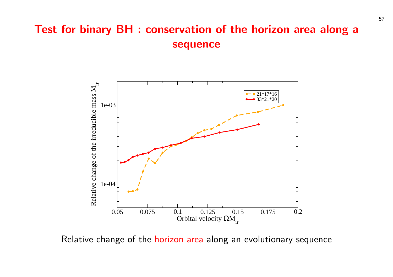# Test for binary BH : conservation of the horizon sequence



Relative change of the horizon area along an evolutiona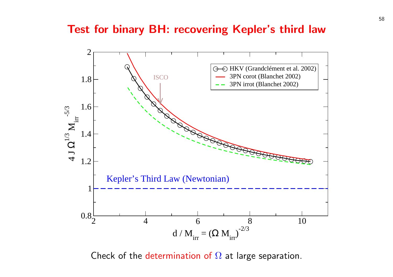### Test for binary BH: recovering Kepler's th



Check of the determination of  $\Omega$  at large separat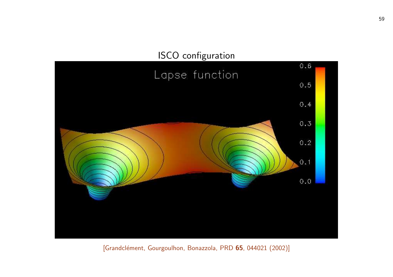# ISCO configuration

# Lapse function



[Grandclément, Gourgoulhon, Bonazzola, PRD 65, 044021 (2002)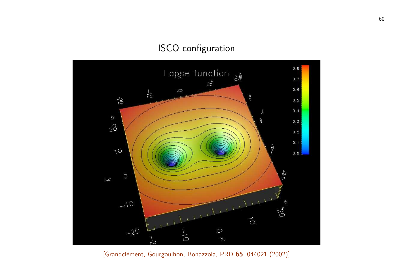#### ISCO configuration



[Grandclément, Gourgoulhon, Bonazzola, PRD 65, 044021 (2002)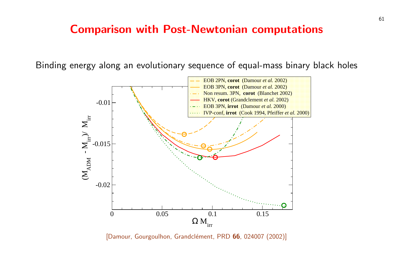#### **Comparison with Post-Newtonian computations**

Binding energy along an evolutionary sequence of equal-mass



[Damour, Gourgoulhon, Grandclément, PRD 66, 024007 (2002)]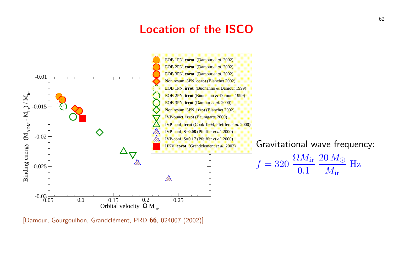### Location of the ISCO



[Damour, Gourgoulhon, Grandclément, PRD 66, 024007 (2002)]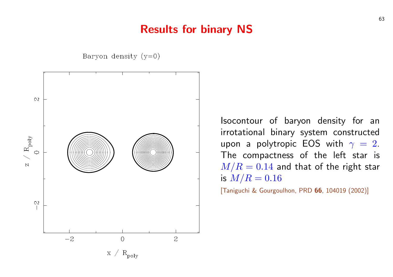### Results for binary NS

Baryon density  $(y=0)$ 



Isocontour of irrotational bina upon a polytro The compactne  $M/R = 0.14$  and is  $M/R = 0.16$ [Taniguchi & Gourgoull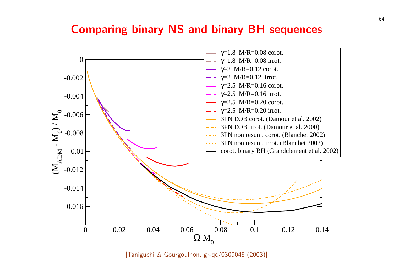#### **Comparing binary NS and binary BH seq**

![](_page_64_Figure_1.jpeg)

[Taniguchi & Gourgoulhon, gr-qc/0309045 (2003)]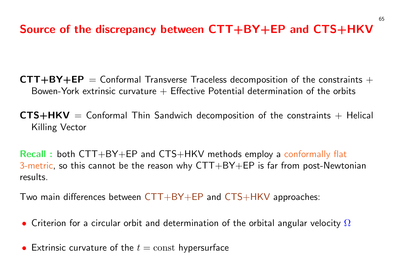# Source of the discrepancy between CTT+BY+EP and CTS+HKV

- $\mathsf{CTT}+\mathsf{BY}+\mathsf{EP}$  = Conformal Transverse Traceless decomposition of the constraints + Bowen-York extrinsic curvature  $+$  Effective Potential determination of the orbits
- $CTS+HKV =$  Conformal Thin Sandwich decomposition of the constraints  $+$  Helical Killing Vector
- Recall: both CTT+BY+EP and CTS+HKV methods employ a conformally flat 3-metric, so this cannot be the reason why  $CTT+BY+EP$  is far from post-Newtonian results.
- Two main differences between  $CTT+BY+EP$  and  $CTS+HKV$  approaches:
- Criterion for a circular orbit and determination of the orbital angular velocity  $\Omega$
- Extrinsic curvature of the  $t = \text{const}$  hypersurface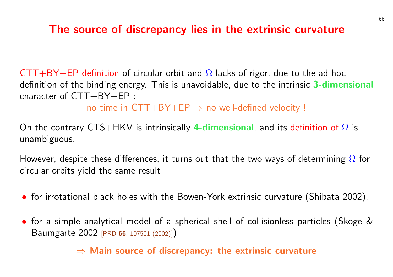# The source of discrepancy lies in the extrinsic

 $CTT+BY+EP$  definition of circular orbit and  $\Omega$  lacks of rigor, due definition of the binding energy. This is unavoidable, due to the in character of  $CTT+BY+EP$ :

no time in  $CTT+BY+EP \Rightarrow$  no well-defined velo

On the contrary CTS+HKV is intrinsically 4-dimensional, and its unambiguous.

However, despite these differences, it turns out that the two ways circular orbits yield the same result

- for irrotational black holes with the Bowen-York extrinsic curva
- for a simple analytical model of a spherical shell of collisionle Baumgarte 2002 [PRD <sup>66</sup>, 107501 (2002)])

 $\Rightarrow$  Main source of discrepancy: the extrinsic cu